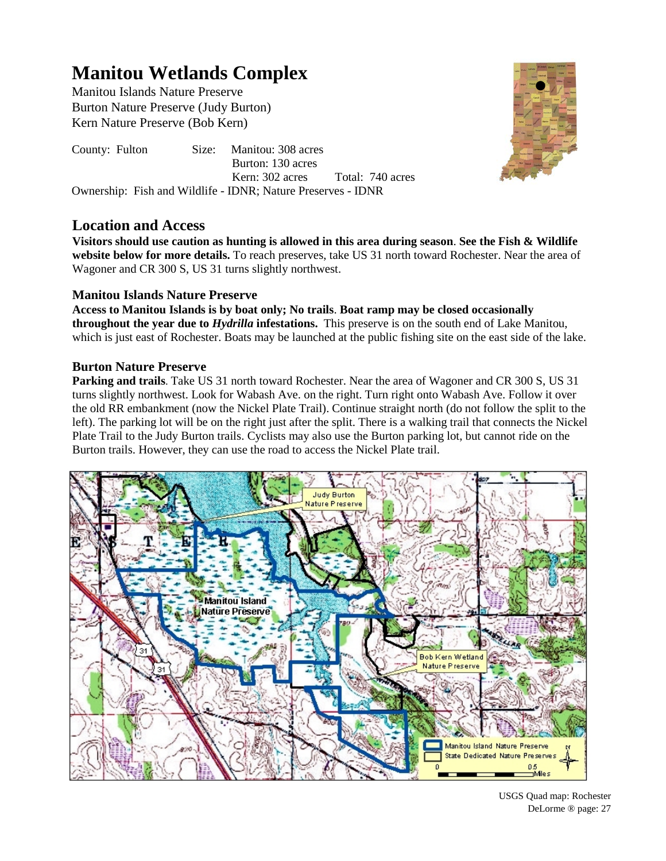# **Manitou Wetlands Complex**

Manitou Islands Nature Preserve Burton Nature Preserve (Judy Burton) Kern Nature Preserve (Bob Kern)

County: Fulton Size: Manitou: 308 acres Burton: 130 acres Kern: 302 acres Total: 740 acres Ownership: Fish and Wildlife - IDNR; Nature Preserves - IDNR

## **Location and Access**

**Visitors should use caution as hunting is allowed in this area during season**. **See the Fish & Wildlife website below for more details.** To reach preserves, take US 31 north toward Rochester. Near the area of Wagoner and CR 300 S, US 31 turns slightly northwest.

## **Manitou Islands Nature Preserve**

**Access to Manitou Islands is by boat only; No trails**. **Boat ramp may be closed occasionally throughout the year due to** *Hydrilla* **infestations.** This preserve is on the south end of Lake Manitou, which is just east of Rochester. Boats may be launched at the public fishing site on the east side of the lake.

## **Burton Nature Preserve**

**Parking and trails**. Take US 31 north toward Rochester. Near the area of Wagoner and CR 300 S, US 31 turns slightly northwest. Look for Wabash Ave. on the right. Turn right onto Wabash Ave. Follow it over the old RR embankment (now the Nickel Plate Trail). Continue straight north (do not follow the split to the left). The parking lot will be on the right just after the split. There is a walking trail that connects the Nickel Plate Trail to the Judy Burton trails. Cyclists may also use the Burton parking lot, but cannot ride on the Burton trails. However, they can use the road to access the Nickel Plate trail.





USGS Quad map: Rochester DeLorme ® page: 27